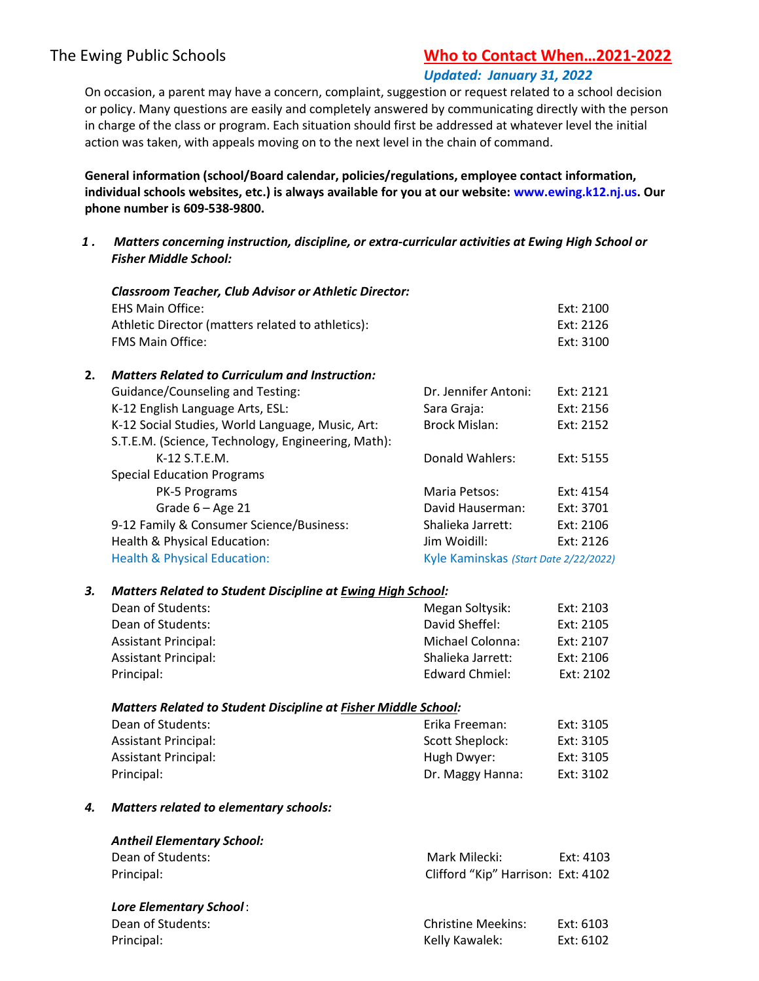# The Ewing Public Schools Who to Contact When...2021-2022

## Updated: January 31, 2022

On occasion, a parent may have a concern, complaint, suggestion or request related to a school decision or policy. Many questions are easily and completely answered by communicating directly with the person in charge of the class or program. Each situation should first be addressed at whatever level the initial action was taken, with appeals moving on to the next level in the chain of command.

General information (school/Board calendar, policies/regulations, employee contact information, individual schools websites, etc.) is always available for you at our website: www.ewing.k12.nj.us. Our phone number is 609-538-9800.

 1 . Matters concerning instruction, discipline, or extra-curricular activities at Ewing High School or Fisher Middle School:

|    | <b>Classroom Teacher, Club Advisor or Athletic Director:</b>          |                                       |           |  |  |
|----|-----------------------------------------------------------------------|---------------------------------------|-----------|--|--|
|    | <b>EHS Main Office:</b>                                               |                                       | Ext: 2100 |  |  |
|    | Athletic Director (matters related to athletics):                     |                                       | Ext: 2126 |  |  |
|    | FMS Main Office:                                                      |                                       | Ext: 3100 |  |  |
| 2. | <b>Matters Related to Curriculum and Instruction:</b>                 |                                       |           |  |  |
|    | <b>Guidance/Counseling and Testing:</b>                               | Dr. Jennifer Antoni:                  | Ext: 2121 |  |  |
|    | K-12 English Language Arts, ESL:                                      | Sara Graja:                           | Ext: 2156 |  |  |
|    | K-12 Social Studies, World Language, Music, Art:                      | <b>Brock Mislan:</b>                  | Ext: 2152 |  |  |
|    | S.T.E.M. (Science, Technology, Engineering, Math):                    |                                       |           |  |  |
|    | K-12 S.T.E.M.                                                         | Donald Wahlers:                       | Ext: 5155 |  |  |
|    | <b>Special Education Programs</b>                                     |                                       |           |  |  |
|    | PK-5 Programs                                                         | Maria Petsos:                         | Ext: 4154 |  |  |
|    | Grade $6 - Age 21$                                                    | David Hauserman:                      | Ext: 3701 |  |  |
|    | 9-12 Family & Consumer Science/Business:                              | Shalieka Jarrett:                     | Ext: 2106 |  |  |
|    | Health & Physical Education:                                          | Jim Woidill:                          | Ext: 2126 |  |  |
|    | <b>Health &amp; Physical Education:</b>                               | Kyle Kaminskas (Start Date 2/22/2022) |           |  |  |
| З. | <b>Matters Related to Student Discipline at Ewing High School:</b>    |                                       |           |  |  |
|    | Dean of Students:                                                     | Megan Soltysik:                       | Ext: 2103 |  |  |
|    | Dean of Students:                                                     | David Sheffel:                        | Ext: 2105 |  |  |
|    | <b>Assistant Principal:</b>                                           | Michael Colonna:                      | Ext: 2107 |  |  |
|    | <b>Assistant Principal:</b>                                           | Shalieka Jarrett:                     | Ext: 2106 |  |  |
|    | Principal:                                                            | <b>Edward Chmiel:</b>                 | Ext: 2102 |  |  |
|    | <b>Matters Related to Student Discipline at Fisher Middle School:</b> |                                       |           |  |  |
|    | Dean of Students:                                                     | Erika Freeman:                        | Ext: 3105 |  |  |
|    | Assistant Principal:                                                  | <b>Scott Sheplock:</b>                | Ext: 3105 |  |  |
|    | Assistant Principal:                                                  | Hugh Dwyer:                           | Ext: 3105 |  |  |
|    | Principal:                                                            | Dr. Maggy Hanna:                      | Ext: 3102 |  |  |
| 4. | <b>Matters related to elementary schools:</b>                         |                                       |           |  |  |
|    | <b>Antheil Elementary School:</b>                                     |                                       |           |  |  |
|    | Dean of Students:                                                     | Mark Milecki:                         | Ext: 4103 |  |  |
|    | Principal:                                                            | Clifford "Kip" Harrison: Ext: 4102    |           |  |  |
|    | <b>Lore Elementary School:</b>                                        |                                       |           |  |  |
|    | Dean of Students:                                                     | <b>Christine Meekins:</b>             | Ext: 6103 |  |  |
|    | Principal:                                                            | Kelly Kawalek:                        | Ext: 6102 |  |  |